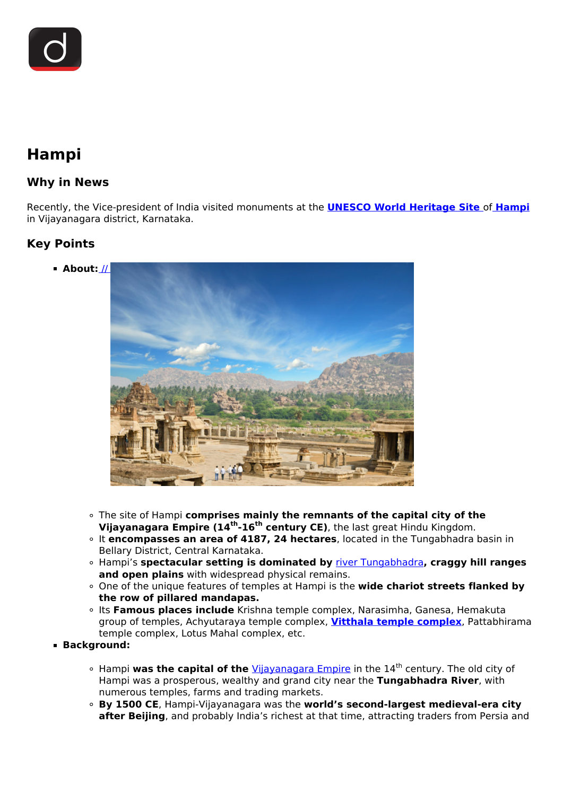

# **Hampi**

### **Why in News**

Recently, the Vice-president of India visited monuments at the **[UNESCO World Heritage Site](/daily-updates/daily-news-analysis/kailash-mansarovar-in-tentative-list-of-world-heritage-sites)** of **[Hampi](/daily-updates/daily-news-analysis/hampi)** in Vijayanagara district, Karnataka.

## **Key Points**

**About:** [//](https://www.drishtiias.com/images/uploads/1629875734_unnamed%20(1).png) 



- The site of Hampi **comprises mainly the remnants of the capital city of the Vijayanagara Empire (14th-16th century CE)**, the last great Hindu Kingdom.
- It **encompasses an area of 4187, 24 hectares**, located in the Tungabhadra basin in Bellary District, Central Karnataka.
- Hampi's **spectacular setting is dominated by** [river Tungabhadra](/daily-updates/daily-news-analysis/tungabhadra-dam#:~:text=helps%20prevent%20floods.-,Tungabhadra%20River,area%20of%2072%2C200%20sq%20km.)**, craggy hill ranges and open plains** with widespread physical remains.
- One of the unique features of temples at Hampi is the **wide chariot streets flanked by the row of pillared mandapas.**
- <sup>o</sup> Its **Famous places include** Krishna temple complex, Narasimha, Ganesa, Hemakuta group of temples, Achyutaraya temple complex, **[Vitthala temple complex](/daily-updates/daily-news-analysis/hampi-stone-chariot)**, Pattabhirama temple complex, Lotus Mahal complex, etc.
- **Background:**
	- Hampi **was the capital of the** [Vijayanagara Empire](/daily-updates/daily-news-analysis/krishnapatnam-port) in the 14th century. The old city of Hampi was a prosperous, wealthy and grand city near the **Tungabhadra River**, with numerous temples, farms and trading markets.
	- **By 1500 CE**, Hampi-Vijayanagara was the **world's second-largest medieval-era city after Beijing**, and probably India's richest at that time, attracting traders from Persia and